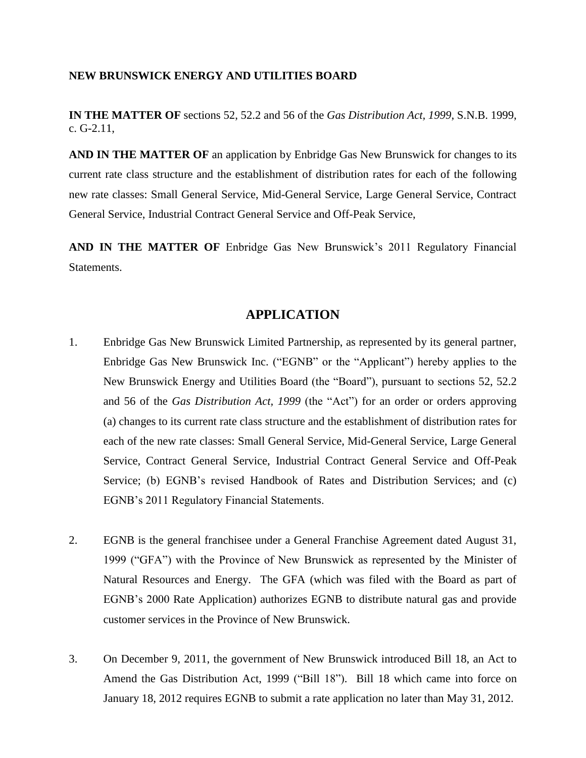## **NEW BRUNSWICK ENERGY AND UTILITIES BOARD**

**IN THE MATTER OF** sections 52, 52.2 and 56 of the *Gas Distribution Act, 1999*, S.N.B. 1999, c. G-2.11,

**AND IN THE MATTER OF** an application by Enbridge Gas New Brunswick for changes to its current rate class structure and the establishment of distribution rates for each of the following new rate classes: Small General Service, Mid-General Service, Large General Service, Contract General Service, Industrial Contract General Service and Off-Peak Service,

**AND IN THE MATTER OF** Enbridge Gas New Brunswick's 2011 Regulatory Financial Statements.

## **APPLICATION**

- 1. Enbridge Gas New Brunswick Limited Partnership, as represented by its general partner, Enbridge Gas New Brunswick Inc. ("EGNB" or the "Applicant") hereby applies to the New Brunswick Energy and Utilities Board (the "Board"), pursuant to sections 52, 52.2 and 56 of the *Gas Distribution Act, 1999* (the "Act") for an order or orders approving (a) changes to its current rate class structure and the establishment of distribution rates for each of the new rate classes: Small General Service, Mid-General Service, Large General Service, Contract General Service, Industrial Contract General Service and Off-Peak Service; (b) EGNB's revised Handbook of Rates and Distribution Services; and (c) EGNB's 2011 Regulatory Financial Statements.
- 2. EGNB is the general franchisee under a General Franchise Agreement dated August 31, 1999 ("GFA") with the Province of New Brunswick as represented by the Minister of Natural Resources and Energy. The GFA (which was filed with the Board as part of EGNB's 2000 Rate Application) authorizes EGNB to distribute natural gas and provide customer services in the Province of New Brunswick.
- 3. On December 9, 2011, the government of New Brunswick introduced Bill 18, an Act to Amend the Gas Distribution Act, 1999 ("Bill 18"). Bill 18 which came into force on January 18, 2012 requires EGNB to submit a rate application no later than May 31, 2012.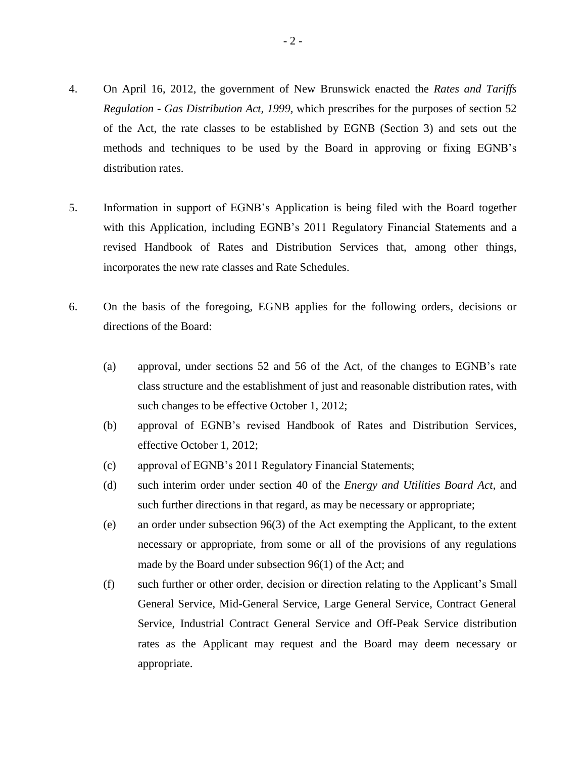- 4. On April 16, 2012, the government of New Brunswick enacted the *Rates and Tariffs Regulation - Gas Distribution Act, 1999,* which prescribes for the purposes of section 52 of the Act, the rate classes to be established by EGNB (Section 3) and sets out the methods and techniques to be used by the Board in approving or fixing EGNB's distribution rates.
- 5. Information in support of EGNB's Application is being filed with the Board together with this Application, including EGNB's 2011 Regulatory Financial Statements and a revised Handbook of Rates and Distribution Services that, among other things, incorporates the new rate classes and Rate Schedules.
- 6. On the basis of the foregoing, EGNB applies for the following orders, decisions or directions of the Board:
	- (a) approval, under sections 52 and 56 of the Act, of the changes to EGNB's rate class structure and the establishment of just and reasonable distribution rates, with such changes to be effective October 1, 2012;
	- (b) approval of EGNB's revised Handbook of Rates and Distribution Services, effective October 1, 2012;
	- (c) approval of EGNB's 2011 Regulatory Financial Statements;
	- (d) such interim order under section 40 of the *Energy and Utilities Board Act*, and such further directions in that regard, as may be necessary or appropriate;
	- (e) an order under subsection 96(3) of the Act exempting the Applicant, to the extent necessary or appropriate, from some or all of the provisions of any regulations made by the Board under subsection 96(1) of the Act; and
	- (f) such further or other order, decision or direction relating to the Applicant's Small General Service, Mid-General Service, Large General Service, Contract General Service, Industrial Contract General Service and Off-Peak Service distribution rates as the Applicant may request and the Board may deem necessary or appropriate.